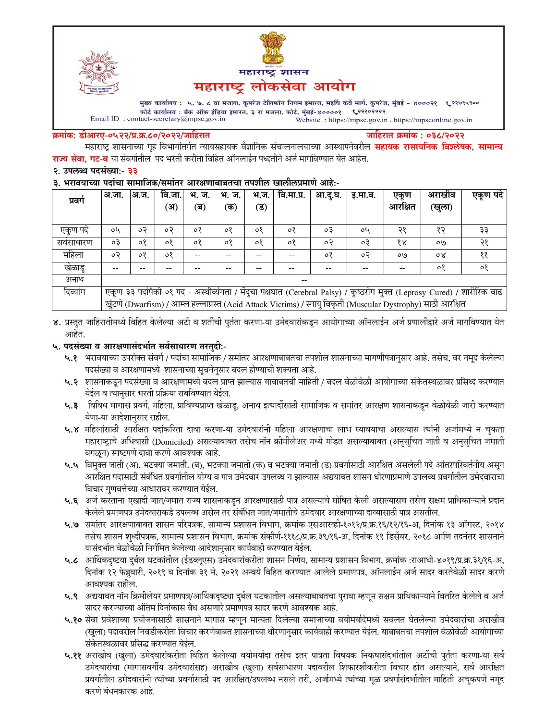



मुख्य कार्यालय : ५, ७, ८ वा मजला, कुपरेज टेलिफोन निगम इमारत, महर्षि कर्वे मार्ग, कुपरेज, मुंबई - ४०००२१ ९२९९९९०० फोर्ट कार्यालय : बँक ऑफ इंडिया इमारत, ३ रा मजला, फोर्ट, मुंबई-४००००१ ९२२१०२२२२  $\label{eq:1} \textbf{Email ID: contact-secretary@mpsc.gov.in}$ Website: https://mpsc.gov.in, https://mpsconline.gov.in

#### क्रमांक: डीआरए-०५२२/प्र.क्र.८०/२०२२/जाहिरात

जाहिरात क्रमांक : ०३८/२०२२

महाराष्ट्र शासनाच्या गृह विभागांतर्गत न्यायसहायक वैज्ञानिक संचालनालयाच्या आस्थापनेवरील **सहायक रासायनिक विश्लेषक, सामान्य राज्य सेवा, गट-ब** या संवर्गातील पद भरती करीता विहित ऑनलाईन पध्दतीने अर्ज मार्गावण्यात येत आहेत.

#### २. उपलब्ध पदसंख्या:- ३३

#### ३. भरावयाच्या पदांचा सामाजिक/समांतर आरक्षणाबाबतचा तपशील खालीलप्रमाणे आहे:-

| प्रवग    | अ.जा.                                                                                                                  | अ.ज. | वि.जा. | भ. ज.   | भ. ज.   | भ.ज. | वि.मा.प्र. | आ.द.घ. | इ.मा.व. | एकण     | अराखाव | एकूण पदे |
|----------|------------------------------------------------------------------------------------------------------------------------|------|--------|---------|---------|------|------------|--------|---------|---------|--------|----------|
|          |                                                                                                                        |      | (अ     | (ब)     | (क)     | (ड)  |            |        |         | आरक्षित | (खुला) |          |
| एकण पद   | oh                                                                                                                     | o२   | o२     | $\circ$ | $\circ$ | ०१   | ०१         | oЗ     | oh      | २१      | १२     | ३३       |
| सवसाधारण | оĘ                                                                                                                     | ०१   | ०१     | ०१      | $\circ$ | ०१   | ०१         | o२     | oЗ      | १४      | ०७     | २१       |
| महिला    | ०२                                                                                                                     | ०१   | ०१     |         |         |      | --         | ०१     | ०२      | O(9)    | οY     | ११       |
| खेळाडू   | --                                                                                                                     |      |        |         |         |      |            | --     | --      | --      | ०१     | $\circ$  |
| अनाथ     | $- -$                                                                                                                  |      |        |         |         |      |            |        |         |         |        |          |
| दिव्यांग | एकण ३३ पदांपैकी ०१ पद - अस्थीव्यंगता / मेंदुचा पक्षघात (Cerebral Palsy) / कुष्ठरोग मुक्त (Leprosy Cured) / शारीरिक वाढ |      |        |         |         |      |            |        |         |         |        |          |
|          | खुंटणे (Dwarfism) / आम्ल हल्लाग्रस्त (Acid Attack Victims) / स्नायु विकृती (Muscular Dystrophy) साठी आरक्षित           |      |        |         |         |      |            |        |         |         |        |          |

४. प्रस्तुत जाहिरातीमध्ये विहित केलेल्या अटी व शर्तीची पुर्तता करणा-या उमेदवारांकडून आयोगाच्या ऑनलाईन अर्ज प्रणालीद्वारे अर्ज मार्गावण्यात येत आहेत.

#### ५. पदसंख्या व आरक्षणासंदर्भात सर्वसाधारण तरतुदी:-

- ५.१ भरावयाच्या उपरोक्त संवर्ग / पदांचा सामाजिक / समांतर आरक्षणाबाबतचा तपशील शासनाच्या मागणीपत्रानुसार आहे. तसेच, वर नमूद केलेल्या पदसंख्या व आरक्षणामध्ये शासनाच्या सूचनेनुसार बदल होण्याची शक्यता आहे.
- ५.२ शासनाकडून पदसंख्या व आरक्षणामध्ये बदल प्राप्त झाल्यास याबाबतची माहिती / बदल वेळोवेळी आयोगाच्या संकेतस्थळावर प्रसिध्द करण्यात येईल व त्यानुसार भरती प्रक्रिया राबविण्यात येईल.
- ५.३ विविध मागास प्रवर्ग, महिला, प्राविण्यप्राप्त खेळाडू, अनाथ इत्यादींसाठी सामाजिक व समांतर आरक्षण शासनाकडून वेळोवेळी जारी करण्यात येणा-या आदेशानुसार राहील.
- ५.४ महिलांसाठी आरक्षित पदांकरिता दावा करणा-या उमेदवारांनी महिला आरक्षणाचा लाभ घ्यावयाचा असल्यास त्यांनी अर्जामध्ये न चुकता महाराष्ट्राचे अधिवासी (Domiciled) असल्याबाबत तसेच नॉन क्रीमीलेअर मध्ये मोडत असल्याबाबत (अनुसूचित जाती व अनुसूचित जमाती वगळून) स्पष्टपणे दावा करणे आवश्यक आहे.
- ५.५ विमुक्त जाती (अ), भटक्या जमाती. (ब), भटक्या जमाती (क) व भटक्या जमाती (ड) प्रवर्गासाठी आरक्षित असलेली पदे आंतरपरिवर्तनीय असून आरक्षित पदासाठी संबंधित प्रवर्गातील योग्य व पात्र उमेदवार उपलब्ध न झाल्यास अद्ययावत शासन धोरणाप्रमाणे उपलब्ध प्रवर्गातील उमेदवाराचा विचार गुणवत्तेच्या आधारावर करण्यात येईल.
- ५.६ अर्ज करताना एखादी जात/जमात राज्य शासनाकडून आरक्षणासाठी पात्र असल्याचे घोषित केली असल्यासच तसेच सक्षम प्राधिकाऱ्याने प्रदान केलेले प्रमाणपत्र उमेदवाराकडे उपलब्ध असेल तर संबंधित जात/जमातीचे उमेदवार आरक्षणाच्या दाव्यासाठी पात्र असतील.
- ५.७ समांतर आरक्षणाबाबत शासन परिपत्रक, सामान्य प्रशासन विभाग, क्रमांक एसआरव्ही-१०१२/प्र.क्र.१६/१२/१६-अ, दिनांक १३ ऑगस्ट, २०१४ तसेच शासन शुध्दीपत्रक, सामान्य प्रशासन विभाग, क्रमांक संकोर्ण-१११८/प्र.क्र.३९/१६-अ, दिनांक १९ डिसेंबर, २०१८ आणि तदनंतर शासनाने यासंदर्भात वेळोवेळी निर्गमित केलेल्या आदेशानुसार कार्यवाही करण्यात येईल.
- ५.८ आर्थिकदृष्टया दुर्बल घटकांतील (ईडब्लूएस) उमेदवारांकरीता शासन निर्णय, सामान्य प्रशासन विभाग, क्रमांक :राआधो-४०१९/प्र.क्र.३१/१६-अ, दिनांक १२ फेब्रुवारी, २०१९ व दिनांक ३१ मे, २०२१ अन्वये विहित करण्यात आलेले प्रमाणपत्र, ऑनलाईन अर्ज सादर करतेवेळी सादर करणे आवश्यक राहील.
- ५.९ अद्ययावत नॉन क्रिमीलेयर प्रमाणपत्र/आर्थिकदृष्ट्या दुर्बल घटकातील असल्याबाबतचा पुरावा म्हणून सक्षम प्राधिकाऱ्याने वितरित केलेले व अर्ज सादर करण्याच्या अंतिम दिनांकास वैध असणारे प्रमाणपत्र सादर करणे आवश्यक आहे.
- ५.१० सेवा प्रवेशाच्या प्रयोजनासाठी शासनाने मागास म्हणून मान्यता दिलेल्या समाजाच्या वयोमर्यादेमध्ये सवलत घेतलेल्या उमेदवारांचा अराखीव (खुला) पदावरील निवडीकरीता विचार करणेबाबत शासनाच्या धोरणानुसार कार्यवाही करण्यात येईल. याबाबतचा तपशील वेळोवेळी आयोगाच्या संकेतस्थळावर प्रसिद्ध करण्यात येईल.
- ५.११ अराखीव (खुला) उमेदवारांकरीता विहित केलेल्या वयोमर्यादा तसेच इतर पात्रता विषयक निकषासंदर्भातील अटींची पुर्तता करणा-या सर्व उमेदवारांचा (मागासवर्गीय उमेदवारांसह) अराखीव (खुला) सर्वसाधारण पदावरील शिफारशीकरीता विचार होत असल्याने, सर्व आरक्षित प्रवर्गातील उमेदवारांनी त्यांच्या प्रवर्गासाठी पद आरक्षित/उपलब्ध नसले तरी, अर्जामध्ये त्यांच्या मूळ प्रवर्गासंदर्भातील माहिती अचूकपणे नमूद करणे बंधनकारक आहे.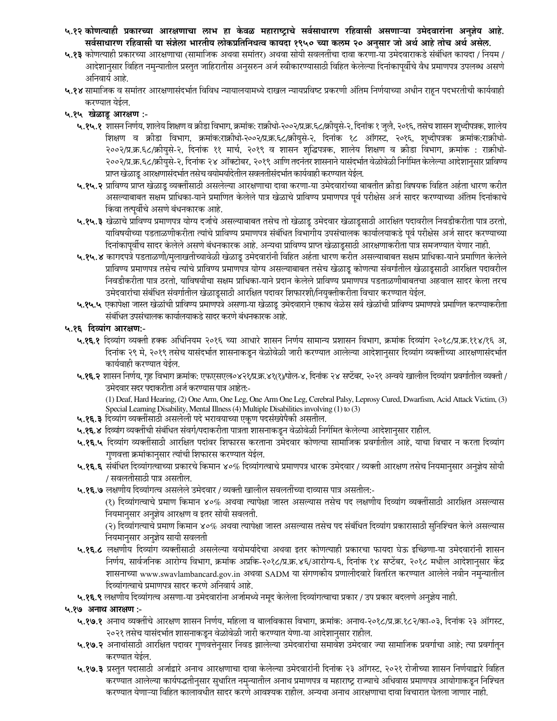- ५.१२ कोणत्याही प्रकारच्या आरक्षणाचा लाभ हा केवळ महाराष्ट्राचे सर्वसाधारण रहिवासी असणाऱ्या उमेदवारांना अनुज्ञेय आहे. सर्वसाधारण रहिवासी या संज्ञेला भारतीय लोकप्रतिनिधत्व कायदा १९५० च्या कलम २० अनुसार जो अर्थ आहे तोच अर्थ असेल.
- ५.१३ कोणत्याही प्रकारच्या आरक्षणाचा (सामाजिक अथवा समांतर) अथवा सोयी सवलतींचा दावा करणा-या उमेदवाराकडे संबंधित कायदा / नियम / आदेशानुसार विहित नमुन्यातील प्रस्तुत जाहिरातीस अनुसरुन अर्ज स्वीकारण्यासाठी विहित केलेल्या दिनांकापूर्वीचे वैध प्रमाणपत्र उपलब्ध असणे अनिवार्य आहे.
- ५.१४ सामाजिक व समांतर आरक्षणासंदर्भात विविध न्यायालयामध्ये दाखल न्यायप्रविष्ट प्रकरणी अंतिम निर्णयाच्या अधीन राहून पदभरतीची कार्यवाही करण्यात येईल.

### ५.१५ खेळाडू आरक्षण :-

- ५.१५.१ शासन निर्णय, शालेय शिक्षण व क्रीडा विभाग, क्रमांक: राक्रीधो-२००२/प्र.क.६८/क्रीयुसे-२, दिनांक १ जुलै, २०१६, तसेच शासन शुध्दीपत्रक, शालेय शिक्षण व क्रीडा विभाग, क्रमांक:राक्रीधो-२००२/प्र.क्र.६८/क्रीयुसे-२, दिनांक १८ ऑगस्ट, २०१६, शुध्दीपत्रक क्रमांक:राक्रीधो-२००२/प्र.क्र.६८/क्रीयुसे-२, दिनांक ११ मार्च, २०१९ व शासन शुद्धिपत्रक, शालेय शिक्षण व क्रीडा विभाग, क्रमांक : राक्रीधो-२००२/प्र.क्र.६८/क्रीयुसे-२, दिनांक २४ ऑक्टोबर, २०१९ आणि तदनंतर शासनाने यासंदर्भात वेळोवेळी निर्गमित केलेल्या आदेशानुसार प्राविण्य प्राप्त खेळाडू आरक्षणासंदर्भात तसेच वयोमर्यादेतील सवलतीसंदर्भात कार्यवाही करण्यात येईल.
- ५.१५.२ प्राविण्य प्राप्त खेळाडू व्यक्तींसाठी असलेल्या आरक्षणाचा दावा करणा-या उमेदवारांच्या बाबतीत क्रीडा विषयक विहित अर्हता धारण करीत असल्याबाबत सक्षम प्राधिका-याने प्रमाणित केलेले पात्र खेळाचे प्राविण्य प्रमाणपत्र पूर्व परीक्षेस अर्ज सादर करण्याच्या अंतिम दिनांकाचे किंवा तत्पूर्वीचे असणे बंधनकारक आहे.
- ५.१५.३ खेळाचे प्राविण्य प्रमाणपत्र योग्य दर्जाचे असल्याबाबत तसेच तो खेळाडू उमेदवार खेळाडूसाठी आरक्षित पदावरील निवडीकरीता पात्र ठरतो, याविषयीच्या पडताळणीकरीता त्यांचे प्राविण्य प्रमाणपत्र संबंधित विभागीय उपसंचालक कार्यालयाकडे पूर्व परीक्षेस अर्ज सादर करण्याच्या दिनांकापूर्वीच सादर केलेले असणे बंधनकारक आहे. अन्यथा प्राविण्य प्राप्त खेळाडूसाठी आरक्षणाकरीता पात्र समजण्यात येणार नाही.
- ५.१५.४ कागदपत्रे पडताळणी/मुलाखतीच्यावेळी खेळाडू उमेदवारांनी विहित अर्हता धारण करीत असल्याबाबत सक्षम प्राधिका-याने प्रमाणित केलेले प्राविण्य प्रमाणपत्र तसेच त्यांचे प्राविण्य प्रमाणपत्र योग्य असल्याबाबत तसेच खेळाडू कोणत्या संवर्गातील खेळाडूसाठी आरक्षित पदावरील निवडीकरीता पात्र ठरतो, याविषयीचा सक्षम प्राधिका-याने प्रदान केलेले प्राविण्य प्रमाणपत्र पडताळणीबाबतचा अहवाल सादर केला तरच उमेदवारांचा संबंधित संवर्गातील खेळाडूसाठी आरक्षित पदावर शिफारशी/नियुक्तीकरीता विचार करण्यात येईल.
- ५.१५.५ एकापेक्षा जास्त खेळांची प्राविण्य प्रमाणपत्रे असणा-या खेळाडू उमेदवाराने एकाच वेळेस सर्व खेळांची प्राविण्य प्रमाणपत्रे प्रमाणित करण्याकरीता संबंधित उपसंचालक कार्यालयाकडे सादर करणे बंधनकारक आहे.

#### ५.१६ दिव्यांग आरक्षण:-

- ५.**१६.१** दिव्यांग व्यक्ती हक्क अधिनियम २०१६ च्या आधारे शासन निर्णय सामान्य प्रशासन विभाग, क्रमांक दिव्यांग २०१८/प्र.क्र.११४/१६ अ, दिनांक २९ मे, २०१९ तसेच यासंदर्भात शासनाकडून वेळोवेळी जारी करण्यात आलेल्या आदेशानुसार दिव्यांग व्यक्तींच्या आरक्षणासंदर्भात कार्यवाही करण्यात येईल.
- ५.१६.२ शासन निर्णय, गृह विभाग क्रमांक: एफएसएल०४२१/प्र.क्र.४१(१)/पोल-४, दिनांक २४ सप्टेंबर, २०२१ अन्वये खालील दिव्यांग प्रवर्गातील व्यक्ती / उमेदवार सदर पदाकरीता अर्ज करण्यास पात्र आहेत:-

(1) Deaf, Hard Hearing, (2) One Arm, One Leg, One Arm One Leg, Cerebral Palsy, Leprosy Cured, Dwarfism, Acid Attack Victim, (3) Special Learning Disability, Mental Illness (4) Multiple Disabilities involving (1) to (3)

- ५.१६.३ दिव्यांग व्यक्तींसाठी असलेली पदे भरावयाच्या एकूण पदसंख्येपैकी असतील.
- ५.**१६.४** दिव्यांग व्यक्तींची संबंधित संवर्ग/पदाकरीता पात्रता शासनाकडून वेळोवेळी निर्गमित केलेल्या आदेशानुसार राहील.
- ५.१६.५ दिव्यांग व्यक्तींसाठी आरक्षित पदांवर शिफारस करताना उमेदवार कोणत्या सामाजिक प्रवर्गातील आहे, याचा विचार न करता दिव्यांग गुणवत्ता क्रमांकानुसार त्यांची शिफारस करण्यात येईल.
- ५.१६.६ संबंधित दिव्यांगत्वाच्या प्रकारचे किमान ४०% दिव्यांगत्वाचे प्रमाणपत्र धारक उमेदवार / व्यक्ती आरक्षण तसेच नियमानुसार अनुज्ञेय सोयी / सवलतीसाठी पात्र असतील.
- ५.१६.७ लक्षणीय दिव्यांगत्व असलेले उमेदवार / व्यक्ती खालील सवलतींच्या दाव्यास पात्र असतील:-

(१) दिव्यांगत्वाचे प्रमाण किमान ४०% अथवा त्यापेक्षा जास्त असल्यास तसेच पद लक्षणीय दिव्यांग व्यक्तींसाठी आरक्षित असल्यास नियमानुसार अनुज्ञेय आरक्षण व इतर सोयी सवलती.

(२) दिव्यांगत्याचे प्रमाण किमान ४०% अथवा त्यापेक्षा जास्त असल्यास तसेच पद संबंधित दिव्यांग प्रकारासाठी सुनिश्चित केले असल्यास नियमानुसार अनुज्ञेय सायी सवलती

- ५.१६.८ लक्षणीय दिव्यांग व्यक्तींसाठी असलेल्या वयोमर्यादेचा अथवा इतर कोणत्याही प्रकारचा फायदा घेऊ इच्छिणा-या उमेदवारांनी शासन निर्णय, सार्वजनिक आरोग्य विभाग, क्रमांक अप्रकि-२०१८/प्र.क्र.४६/आरोग्य-६, दिनांक १४ सप्टेंबर, २०१८ मधील आदेशानुसार केंद्र शासनाच्या www.swavlambancard.gov.in अथवा SADM या संगणकीय प्रणालीदवारे वितरित करण्यात आलेले नवीन नमुन्यातील दिव्यांगत्वाचे प्रमाणपत्र सादर करणे अनिवार्य आहे.
- ५.१६.९ लक्षणीय दिव्यांगत्व असणा-या उमेदवारांना अर्जामध्ये नमूद केलेला दिव्यांगत्वाचा प्रकार / उप प्रकार बदलणे अनुज्ञेय नाही.

#### ५.१७ अनाथ आरक्षण :-

- ५.१७.१ अनाथ व्यक्तींचे आरक्षण शासन निर्णय, महिला व बालविकास विभाग, क्रमांक: अनाथ-२०१८/प्र.क्र.१८२/का-०३, दिनांक २३ ऑगस्ट, २०२१ तसेच यासंदर्भात शासनाकडून वेळोवेळी जारी करण्यात येणा-या आदेशानुसार राहील.
- ५.१७.२ अनाथांसाठी आरक्षित पदावर गुणवत्तेनुसार निवड झालेल्या उमेदवारांचा समावेश उमेदवार ज्या सामाजिक प्रवर्गाचा आहे; त्या प्रवर्गातून करण्यात येईल.
- ५.१७.३ प्रस्तुत पदासाठी अर्जाद्वारे अनाथ आरक्षणाचा दावा केलेल्या उमेदवारांनी दिनांक २३ ऑगस्ट, २०२१ रोजीच्या शासन निर्णयाद्वारे विहित करण्यात आलेल्या कार्यपद्धतीनुसार सुधारित नमुन्यातील अनाथ प्रमाणपत्र व महाराष्ट्र राज्याचे अधिवास प्रमाणपत्र आयोगाकडून निश्चित करण्यात येणाऱ्या विहित कालावधीत सादर करणे आवश्यक राहील. अन्यथा अनाथ आरक्षणाचा दावा विचारात घेतला जाणार नाही.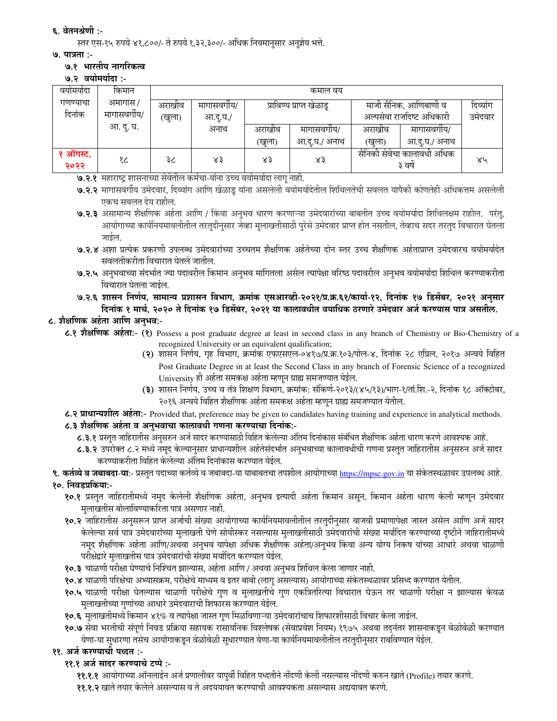# ६. वेतनश्रेणी :-

स्तर एस-१५ रुपये ४१,८००/- ते रुपये १,३२,३००/- अधिक नियमानुसार अनुज्ञेय भत्ते.

### ७. पात्रता :-

### ७.१ भारतीय नागरिकत्व

७.२ वयोमर्यादा :-

| वयामयादा         | किमान        | कमाल वय              |         |        |                          |                                      |               |    |  |
|------------------|--------------|----------------------|---------|--------|--------------------------|--------------------------------------|---------------|----|--|
| गणण्याचा         | अमागास /     | अराखीव<br>मागासवगाय/ |         |        | प्राविण्य प्राप्त खेळाडू | माजी सैनिक, आणिबाणी व                | दिव्याग       |    |  |
| दिनांक           | मागासवर्गीय/ | (खुला)               | आ.द.घ./ |        |                          | अल्पसेवा राजदिष्ट अधिकारी            | उमेदवार       |    |  |
|                  | आ. दू. घ.    |                      | अनाथ    | अराखीव | मागासवगीय/               | अराखीव                               | मागासवगीय/    |    |  |
|                  |              |                      |         | (खुला) | आ.दु.घ./ अनाथ            | (खुला)                               | आ.दु.घ./ अनाथ |    |  |
| १ ऑगस्ट.<br>२०२२ | १८           | ३८                   | ४३      | ४३     | ४३                       | सैनिकी सेवेचा कालावधी अधिक<br>३ वर्ष |               | ४५ |  |

७.२.१ महाराष्ट्र शासनाच्या सेवेतील कर्मचा-यांना उच्च वयोमर्यादा लागू नाही.

- ७.२.२ मागासवर्गीय उमेदवार, दिव्यांग आणि खेळाडू यांना असलेली वयोमर्यादेतील शिथिलतेची सवलत यापैकी कोणतेही अधिकत्तम असलेली एकच सवलत देय राहील.
- ७.२.३ असामान्य शैक्षणिक अर्हता आणि / किंवा अनुभव धारण करणाऱ्या उमेदवारांच्या बाबतीत उच्च वयोमर्यादा शिथिलक्षम राहील. परंतु, आयोगाच्या कार्यनियमावलीतील तरतुदीनुसार जेव्हा मुलाखतीसाठी पुरेसे उमेदवार प्राप्त होत नसतील, तेव्हाच सदर तरतुद विचारात घेतला जाईल.
- ७.२.४ अशा प्रत्येक प्रकरणी उपलब्ध उमेदवारांच्या उच्चतम शैक्षणिक अर्हतेच्या दोन स्तर उच्च शैक्षणिक अर्हताप्राप्त उमेदवारच वयोमर्यादेत सवलतीकरीता विचारात घेतले जातील.
- ७.२.५ अनुभवाच्या संदर्भात ज्या पदावरील किमान अनुभव मागितला असेल त्यापेक्षा वरिष्ठ पदावरील अनुभव वयोमर्यादा शिथिल करण्याकरीता विचारात घेतला जाईल.
- ७.२.६ शासन निर्णय, सामान्य प्रशासन विभाग, क्रमांक एसआरव्ही-२०२१/प्र.क्र.६१/कार्या-१२, दिनांक १७ डिसेंबर, २०२१ अनुसार दिनांक १ मार्च, २०२० ते दिनांक १७ डिसेंबर, २०२१ या कालावधीत वयाधिक ठरणारे उमेदवार अर्ज करण्यास पात्र असतील.

# ८. शैक्षणिक अर्हता आणि अनुभव:-

८.१ शैक्षणिक अर्हता:- (१) Possess a post graduate degree at least in second class in any branch of Chemistry or Bio-Chemistry of a

- recognized University or an equivalent qualification; (२) शासन निर्णय, गृह विभाग, क्रमांक एफएसएल-०४१७/प्र.क्र.१०३/पोल-४, दिनांक २८ एप्रिल, २०१७ अन्वये विहित Post Graduate Degree in at least the Second Class in any branch of Forensic Science of a recognized University ही अर्हता समकक्ष अर्हता म्हणून ग्राह्य समजण्यात येईल.
- (३) शासन निर्णय, उच्च व तंत्र शिक्षण विभाग, क्रमांक: संकिर्ण-२०१३/(४५/१३)/भाग-१/तां.शि.-२, दिनांक १८ ऑक्टोबर, २०१६ अन्वये विहित शैक्षणिक अर्हता समकक्ष अर्हता म्हणून ग्राह्य समजण्यात येतील.

# ८.२ प्राधान्यशील अर्हता:- Provided that, preference may be given to candidates having training and experience in analytical methods.

- ८.३ शैक्षणिक अर्हता व अनुभवाचा कालावधी गणना करण्याचा दिनांक:-
	- ८.३.१ प्रस्तुत जाहिरातीस अनुसरुन अर्ज सादर करण्यासाठी विहित केलेल्या अंतिम दिनांकास संबंधित शैक्षणिक अर्हता धारण करणे आवश्यक आहे.
	- ८.३.२ उपरोक्त ८.२ मध्ये नमूद केल्यानुसार प्राधान्यशील अर्हतेसंदर्भात अनुभवाच्या कालावधीची गणना प्रस्तुत जाहिरातीस अनुसरुन अर्ज सादर करण्याकरीता विहित केलेल्या अंतिम दिनांकास करण्यात येईल.

# **९. कर्तव्ये व जबाबदा-या:**- प्रस्तुत पदाच्या कर्तव्ये व जबाबदा-या याबाबतचा तपशील आयोगाच्या <u>https://mpsc.gov.in</u> या संकेतस्थळावर उपलब्ध आहे. १०. निवडप्रकिया:-

- १०.१ प्रस्तुत जाहिरातीमध्ये नमूद केलेली शैक्षणिक अर्हता, अनुभव इत्यादी अर्हता किमान असून, किमान अर्हता धारण केली म्हणून उमेदवार मुलाखतीस बोलाविण्याकरिता पात्र असणार नाही.
- १०.२ जाहिरातीस अनुसरून प्राप्त अर्जाची संख्या आयोगाच्या कार्यनियमावलीतील तरतुदीनुसार वाजवी प्रमाणापेक्षा जास्त असेल आणि अर्ज सादर केलेल्या सर्व पात्र उमेदवारांच्या मुलाखती घेणे सोयीस्कर नसल्यास मुलाखतीसाठी उमेदवारांची संख्या मर्यादित करण्याच्या दृष्टीने जाहिरातीमध्ये नमूद शैक्षणिक अर्हता आणि/अथवा अनुभव यापेक्षा अधिक शैक्षणिक अर्हता/अनुभव किंवा अन्य योग्य निकष यांच्या आधारे अथवा चाळणी परीक्षेद्वारे मुलाखतीस पात्र उमेदवारांची संख्या मर्यादित करण्यात येईल.
- १०.३ चाळणी परीक्षा घेण्याचे निश्चित झाल्यास, अर्हता आणि / अथवा अनुभव शिथिल केला जाणार नाही.
- १०.४ चाळणी परिक्षेचा अभ्यासक्रम, परीक्षेचे माध्यम व इतर बाबी (लागू असल्यास) आयोगाच्या संकेतस्थळावर प्रसिध्द करण्यात येतील.
- १०.५ चाळणी परीक्षा घेतल्यास चाळणी परीक्षेचे गुण व मुलाखतीचे गुण एकत्रितरित्या विचारात घेऊन तर चाळणी परीक्षा न झाल्यास केवळ मुलाखतीच्या गुणांच्या आधारे उमेदवाराची शिफारस करण्यात येईल.
- १०.६ मुलाखतीमध्ये किमान ४१% व त्यापेक्षा जास्त गुण मिळविणाऱ्या उमेदवारांचाच शिफारशीसाठी विचार केला जाईल.
- १०.७ सेवा भरतीची संपूर्ण निवड प्रक्रिया सहायक रासायनिक विश्लेषक (सेवाप्रवेश नियम) १९७५ अथवा तद्नंतर शासनाकडून वेळोवेळी करण्यात येणा-या सुधारणा तसेच आयोगाकडून वेळोवेळी सुधारण्यात येणा-या कार्यानयमावलीतील तरतुदीनुसार राबविण्यात येईल.

# ११. अर्ज करण्याची पध्दत :-

११.१ अर्ज सादर करण्याचे टप्पे :-

११.१.१ आयोगाच्या ऑनलाईन अर्ज प्रणालीवर यापुर्वी विहित पध्दतीने नोंदणी केली नसल्यास नोंदणी करुन खाते (Profile) तयार करणे.

११.१.२ खाते तयार केलेले असल्यास व ते अदययावत करण्याची आवश्यकता असल्यास अद्ययावत करणे.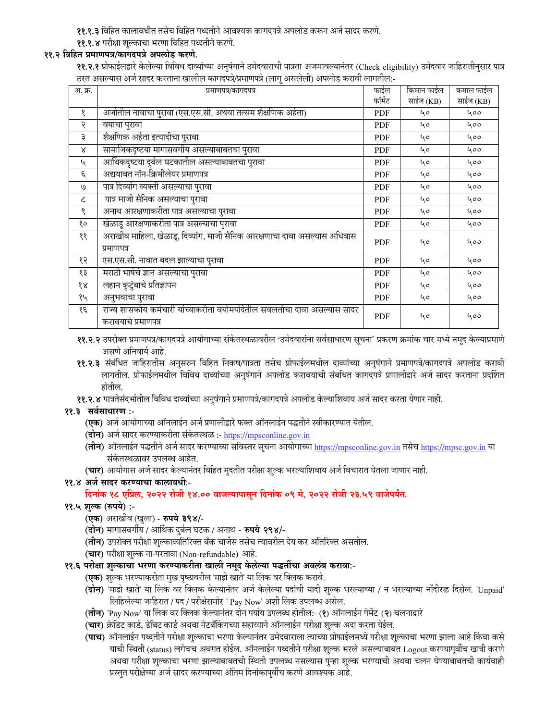११.१.३ विहित कालावधीत तसेच विहित पध्दतीने आवश्यक कागदपत्रे अपलोड करून अर्ज सादर करणे.

#### ११.१.४ परीक्षा शुल्काचा भरणा विहित पध्दतीने करणे. ११.२ विहित प्रमाणपत्र/कागदपत्रे अपलोड करणे.

**११.२.१** प्रोफाईलद्वारे केलेल्या विविध दाव्यांच्या अनुषंगाने उमेदवाराची पात्रता अजमावल्यानंतर (Check eligibility) उमेदवार जाहिरातीनुसार पात्र ठरत असल्यास अर्ज सादर करताना खालील कागदपत्रे/प्रमाणपत्रे (लागू असलेली) अपलोड करावी लागतील:-

| अ. क्र.                     | प्रमाणपत्र/कागदपत्र                                                                               | फाईल       | किमान फाईल | कमाल फाईल |
|-----------------------------|---------------------------------------------------------------------------------------------------|------------|------------|-----------|
|                             |                                                                                                   | फॉर्मेट    | साईज (KB)  | साईज (KB) |
| १                           | अर्जातील नावाचा पुरावा (एस.एस.सी. अथवा तत्सम शैक्षणिक अर्हता)                                     | <b>PDF</b> | 40         | 400       |
| २                           | वयाचा पुरावा                                                                                      | PDF        | 40         | 400       |
| ३                           | शैक्षणिक अर्हता इत्यादीचा पुरावा                                                                  | PDF        | 40         | 400       |
| Χ                           | सामाजिकदृष्टया मागासवर्गीय असल्याबाबतचा पुरावा                                                    | PDF        | 40         | 400       |
| $\mathcal{L}_{\mathcal{A}}$ | आर्थिकदृष्टया दुर्बल घटकातील असल्याबाबतचा पुरावा                                                  | <b>PDF</b> | 40         | 400       |
| ٤                           | अद्ययावत नॉन-क्रिमीलेयर प्रमाणपत्र                                                                | PDF        | ५०         | 400       |
| ٯا                          | पात्र दिव्यांग व्यक्ती असल्याचा पुरावा                                                            | <b>PDF</b> | 40         | 400       |
| $\epsilon$                  | पात्र माजी सैनिक असल्याचा पुरावा                                                                  | PDF        | ५०         | 400       |
| ९                           | अनाथ आरक्षणाकरीता पात्र असल्याचा पुरावा                                                           | PDF        | 40         | 400       |
| १०                          | खेळाडू आरक्षणाकरीता पात्र असल्याचा पुरावा                                                         | PDF        | 40         | 400       |
| ११                          | अराखीव माहिला, खेळाडू, दिव्यांग, माजी सैनिक आरक्षणाचा दावा असल्यास अधिवास<br>प्रमाणपत्र           | <b>PDF</b> | 40         | ५००       |
| १२                          | एस.एस.सी. नावात बदल झाल्याचा पुरावा                                                               | PDF        | ५०         | 400       |
| १३                          | मराठी भाषेचे ज्ञान असल्याचा पुरावा                                                                | PDF        | 40         | 400       |
| १४                          | लहान कुटुंबाचे प्रतिज्ञापन                                                                        | <b>PDF</b> | ५०         | 400       |
| १५                          | अनुभवाचा पुरावा                                                                                   | PDF        | 40         | 400       |
| १६                          | राज्य शासकीय कर्मचारी यांच्याकरीता वयोमर्यादेतील सवलतीचा दावा असल्यास सादर<br>करावयाचे प्रमाणपत्र | <b>PDF</b> | ५०         | 400       |

११.२.२ उपरोक्त प्रमाणपत्र/कागदपत्रे आयोगाच्या संकेतस्थळावरील 'उमेदवारांना सर्वसाधारण सूचना' प्रकरण क्रमांक चार मध्ये नमूद केल्याप्रमाणे असणे अनिवार्य आहे.

- ११.२.३ संबंधित जाहिरातीस अनुसरुन विहित निकष/पात्रता तसेच प्रोफाईलमधील दाव्यांच्या अनुषंगाने प्रमाणपत्रे/कागदपत्रे अपलोड करावी लागतील. प्रोफाईलमधील विविध दाव्यांच्या अनुषंगाने अपलोड करावयाची संबधित कागदपत्रे प्रणालीद्वारे अर्ज सादर करताना प्रदर्शित होतील.
- ११.२.४ पात्रतेसंदर्भातील विविध दाव्यांच्या अनुषंगाने प्रमाणपत्रे/कागदपत्रे अपलोड केल्याशिवाय अर्ज सादर करता येणार नाही.

# ११.३ सर्वसाधारण :-

- (**एक**) अर्ज आयोगाच्या ऑनलाईन अर्ज प्रणालीद्वारे फक्त ऑनलाईन पद्धतीने स्वीकारण्यात येतील.
- (**दोन**) अर्ज सादर करण्याकरीता संकेतस्थळ :- <u>https://mpsconline.gov.in</u>
- (तीन) ऑनलाईन पद्धतीने अर्ज सादर करण्याच्या सविस्तर सूचना आयोगाच्या https://mpsconline.gov.in तसेच https://mpsc.gov.in या संकेतस्थळावर उपलब्ध आहेत.
- (चार) आयोगास अर्ज सादर केल्यानंतर विहित मुदतीत परीक्षा शुल्क भरल्याशिवाय अर्ज विचारात घेतला जाणार नाही.

११.४ अर्ज सादर करण्याचा कालावधीः-

# दिनांक १८ एप्रिल, २०२२ रोजी १४.०० वाजल्यापासून दिनांक ०९ मे, २०२२ रोजी २३.५९ वाजेपर्यंत.

# ११.५ शुल्क (रुपये) :-

- (एक) अराखीव (खुला) रुपये ३९४/-
- (दोन) मागासवर्गीय / आर्थिक दुर्बल घटक / अनाथ रुपये २९४/-
- (**तीन)** उपरोक्त परीक्षा शुल्काव्यतिरिक्त बँक चार्जेस तसेच त्यावरील देय कर अतिरिक्त असतील.
- (चार) परीक्षा शुल्क ना-परतावा (Non-refundable) आहे.
- ११.६ परीक्षा शुल्काचा भरणा करण्याकरीता खाली नमूद केलेल्या पद्धतींचा अवलंब करावा:-
	- **(एक)** शुल्क भरण्याकरीता मुख पृष्ठावरील 'माझे खाते' या लिंक वर क्लिक करावे.
	- (दोन) 'माझे खाते' या लिंक वर क्लिक केल्यानंतर अर्ज केलेल्या पदांची यादी शुल्क भरल्याच्या / न भरल्याच्या नोंदीसह दिसेल. 'Unpaid' लिहिलेल्या जाहिरात / पद / परीक्षेसमोर ' Pay Now' अशी लिंक उपलब्ध असेल.
	- (तीन) 'Pay Now' या लिंक वर क्लिक केल्यानंतर दोन पर्याय उपलब्ध होतील:- (१) ऑनलाईन पेमेंट (२) चलनाद्वारे
	- (**चार**) क्रेडिट कार्ड, डेबिट कार्ड अथवा नेटबँकिंगच्या सहाय्याने ऑनलाईन परीक्षा शुल्क अदा करता येईल.
	- (**पाच**) ऑनलाईन पध्दतीने परीक्षा शुल्काचा भरणा केल्यानंतर उमेदवाराला त्याच्या प्रोफाईलमध्ये परीक्षा शुल्काचा भरणा झाला आहे किंवा कसे याची स्थिती (status) लगेचच अवगत होईल. ऑनलाईन पध्दतीने परीक्षा शुल्क भरले असल्याबाबत Logout करण्यापूर्वीच खात्री करणे अथवा परीक्षा शुल्काचा भरणा झाल्याबाबतची स्थिती उपलब्ध नसल्यास पुन्हा शुल्क भरण्याची अथवा चलन घेण्याबाबतची कार्यवाही प्रस्तुत परीक्षेच्या अर्ज सादर करण्याच्या अंतिम दिनांकापूर्वीच करणे आवश्यक आहे.